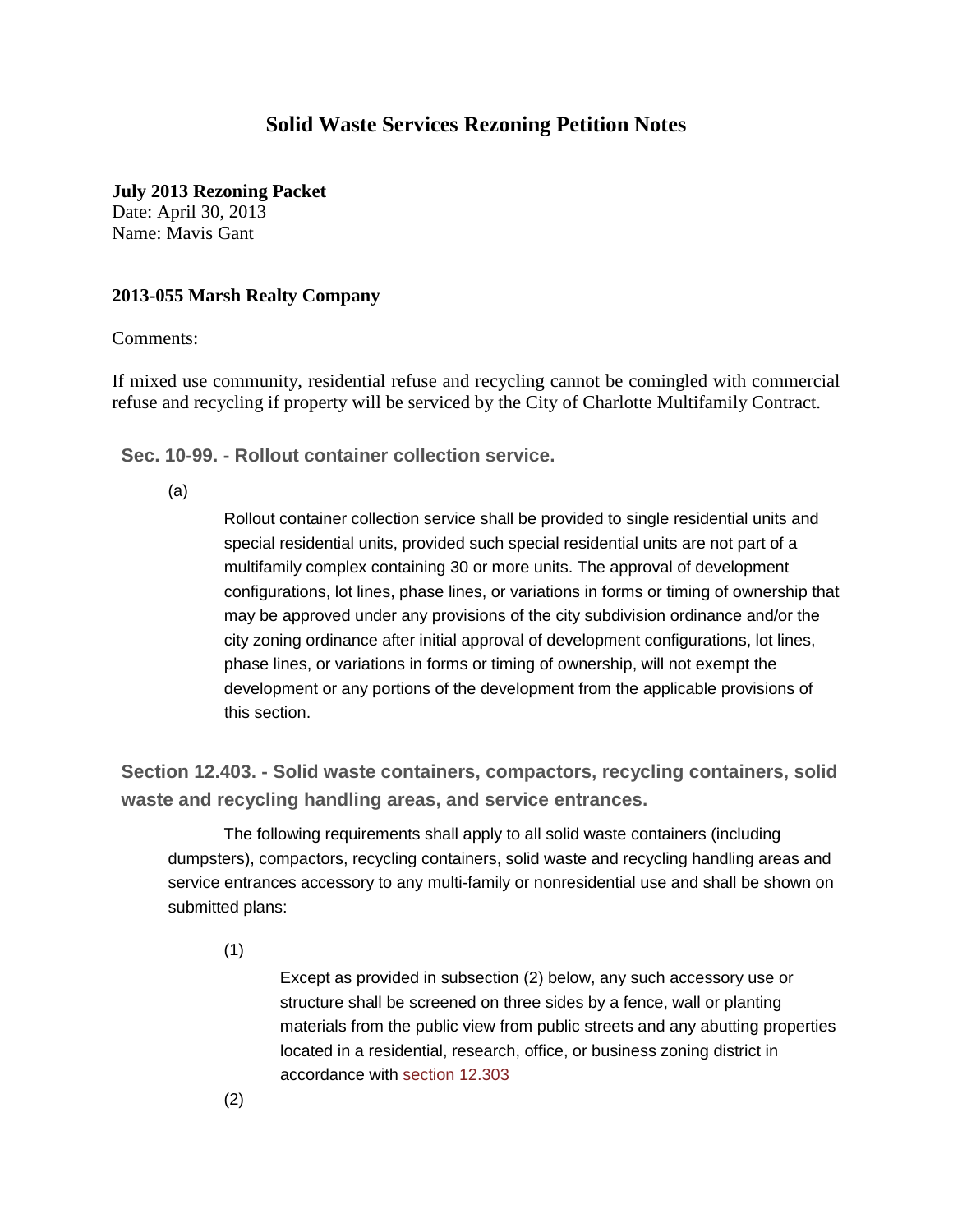## **Solid Waste Services Rezoning Petition Notes**

**July 2013 Rezoning Packet**

Date: April 30, 2013 Name: Mavis Gant

## **2013-055 Marsh Realty Company**

Comments:

If mixed use community, residential refuse and recycling cannot be comingled with commercial refuse and recycling if property will be serviced by the City of Charlotte Multifamily Contract.

**Sec. 10-99. - Rollout container collection service.**

(a)

Rollout container collection service shall be provided to single residential units and special residential units, provided such special residential units are not part of a multifamily complex containing 30 or more units. The approval of development configurations, lot lines, phase lines, or variations in forms or timing of ownership that may be approved under any provisions of the city subdivision ordinance and/or the city zoning ordinance after initial approval of development configurations, lot lines, phase lines, or variations in forms or timing of ownership, will not exempt the development or any portions of the development from the applicable provisions of this section.

**Section 12.403. - Solid waste containers, compactors, recycling containers, solid waste and recycling handling areas, and service entrances.**

The following requirements shall apply to all solid waste containers (including dumpsters), compactors, recycling containers, solid waste and recycling handling areas and service entrances accessory to any multi-family or nonresidential use and shall be shown on submitted plans:

(1)

Except as provided in subsection (2) below, any such accessory use or structure shall be screened on three sides by a fence, wall or planting materials from the public view from public streets and any abutting properties located in a residential, research, office, or business zoning district in accordance with [section](http://library.municode.com/HTML/19970/level4/PTIICOOR_APXAZO_CH12DESTGEAP_PT3BUSC.html#PTIICOOR_APXAZO_CH12DESTGEAP_PT3BUSC_S12.303SCRE) 12.303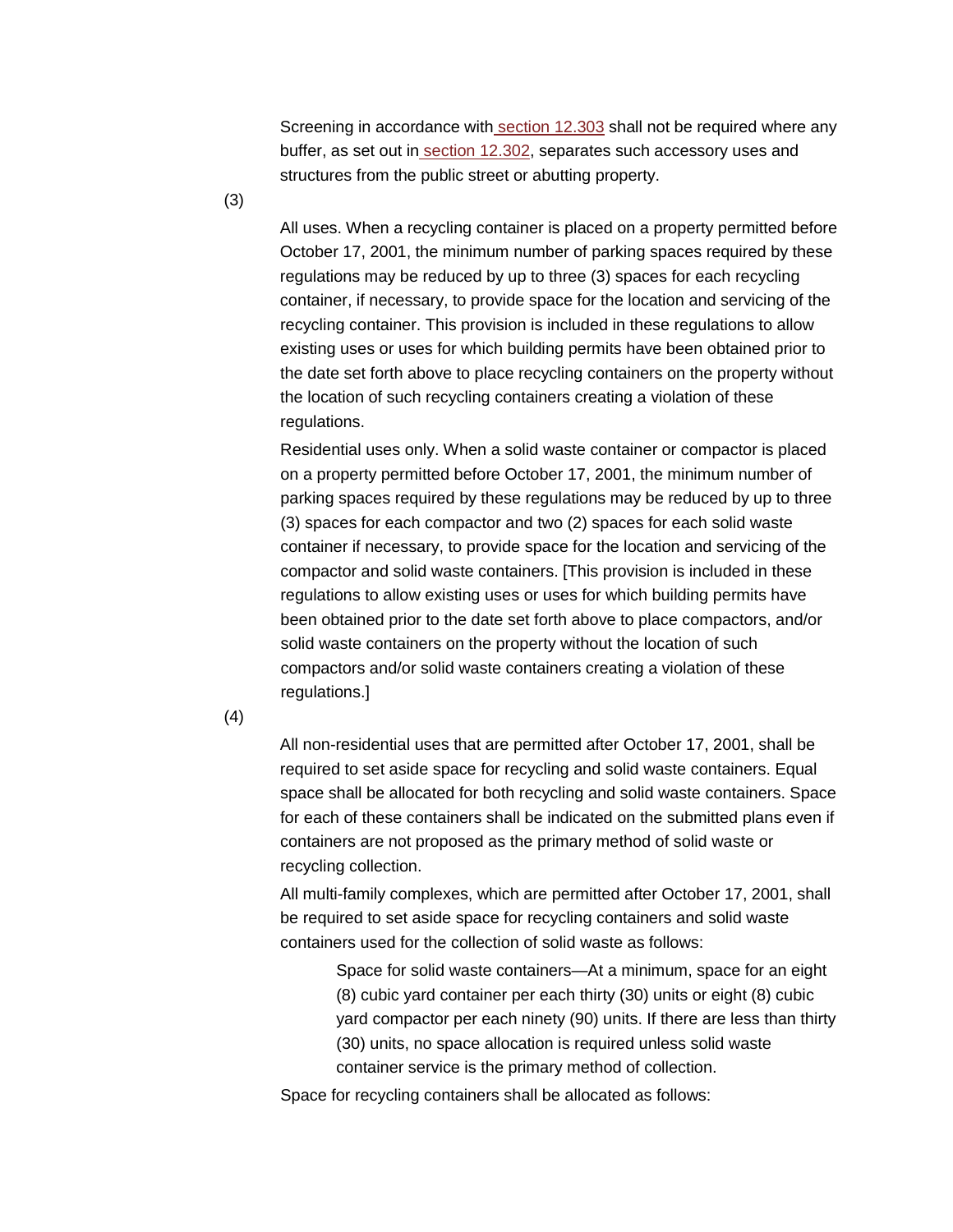Screening in accordance with [section](http://library.municode.com/HTML/19970/level4/PTIICOOR_APXAZO_CH12DESTGEAP_PT3BUSC.html#PTIICOOR_APXAZO_CH12DESTGEAP_PT3BUSC_S12.303SCRE) 12.303 shall not be required where any buffer, as set out in section [12.302,](http://library.municode.com/HTML/19970/level4/PTIICOOR_APXAZO_CH12DESTGEAP_PT3BUSC.html#PTIICOOR_APXAZO_CH12DESTGEAP_PT3BUSC_S12.302BURE) separates such accessory uses and structures from the public street or abutting property.

(3)

All uses. When a recycling container is placed on a property permitted before October 17, 2001, the minimum number of parking spaces required by these regulations may be reduced by up to three (3) spaces for each recycling container, if necessary, to provide space for the location and servicing of the recycling container. This provision is included in these regulations to allow existing uses or uses for which building permits have been obtained prior to the date set forth above to place recycling containers on the property without the location of such recycling containers creating a violation of these regulations.

Residential uses only. When a solid waste container or compactor is placed on a property permitted before October 17, 2001, the minimum number of parking spaces required by these regulations may be reduced by up to three (3) spaces for each compactor and two (2) spaces for each solid waste container if necessary, to provide space for the location and servicing of the compactor and solid waste containers. [This provision is included in these regulations to allow existing uses or uses for which building permits have been obtained prior to the date set forth above to place compactors, and/or solid waste containers on the property without the location of such compactors and/or solid waste containers creating a violation of these regulations.]

(4)

All non-residential uses that are permitted after October 17, 2001, shall be required to set aside space for recycling and solid waste containers. Equal space shall be allocated for both recycling and solid waste containers. Space for each of these containers shall be indicated on the submitted plans even if containers are not proposed as the primary method of solid waste or recycling collection.

All multi-family complexes, which are permitted after October 17, 2001, shall be required to set aside space for recycling containers and solid waste containers used for the collection of solid waste as follows:

> Space for solid waste containers—At a minimum, space for an eight (8) cubic yard container per each thirty (30) units or eight (8) cubic yard compactor per each ninety (90) units. If there are less than thirty (30) units, no space allocation is required unless solid waste container service is the primary method of collection.

Space for recycling containers shall be allocated as follows: